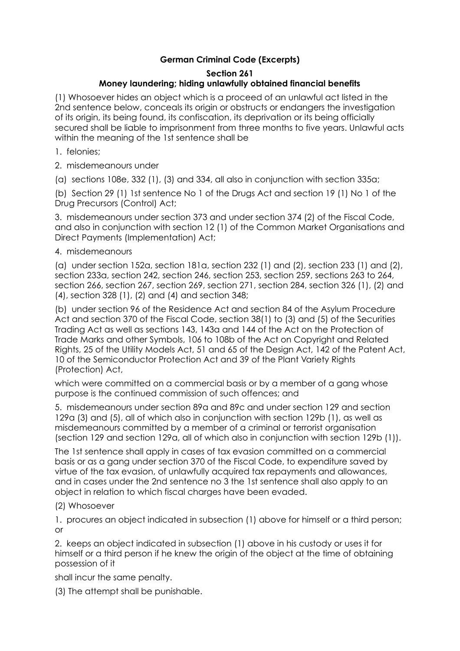# **German Criminal Code (Excerpts)**

# **Section 261**

# **Money laundering; hiding unlawfully obtained financial benefits**

(1) Whosoever hides an object which is a proceed of an unlawful act listed in the 2nd sentence below, conceals its origin or obstructs or endangers the investigation of its origin, its being found, its confiscation, its deprivation or its being officially secured shall be liable to imprisonment from three months to five years. Unlawful acts within the meaning of the 1st sentence shall be

- 1. felonies;
- 2. misdemeanours under

(a) sections 108e, 332 (1), (3) and 334, all also in conjunction with section 335a;

(b) Section 29 (1) 1st sentence No 1 of the Drugs Act and section 19 (1) No 1 of the Drug Precursors (Control) Act;

3. misdemeanours under section 373 and under section 374 (2) of the Fiscal Code, and also in conjunction with section 12 (1) of the Common Market Organisations and Direct Payments (Implementation) Act;

# 4. misdemeanours

(a) under section 152a, section 181a, section 232 (1) and (2), section 233 (1) and (2), section 233a, section 242, section 246, section 253, section 259, sections 263 to 264, section 266, section 267, section 269, section 271, section 284, section 326 (1), (2) and (4), section 328 (1), (2) and (4) and section 348;

(b) under section 96 of the Residence Act and section 84 of the Asylum Procedure Act and section 370 of the Fiscal Code, section 38(1) to (3) and (5) of the Securities Trading Act as well as sections 143, 143a and 144 of the Act on the Protection of Trade Marks and other Symbols, 106 to 108b of the Act on Copyright and Related Rights, 25 of the Utility Models Act, 51 and 65 of the Design Act, 142 of the Patent Act, 10 of the Semiconductor Protection Act and 39 of the Plant Variety Rights (Protection) Act,

which were committed on a commercial basis or by a member of a gang whose purpose is the continued commission of such offences; and

5. misdemeanours under section 89a and 89c and under section 129 and section 129a (3) and (5), all of which also in conjunction with section 129b (1), as well as misdemeanours committed by a member of a criminal or terrorist organisation (section 129 and section 129a, all of which also in conjunction with section 129b (1)).

The 1st sentence shall apply in cases of tax evasion committed on a commercial basis or as a gang under section 370 of the Fiscal Code, to expenditure saved by virtue of the tax evasion, of unlawfully acquired tax repayments and allowances, and in cases under the 2nd sentence no 3 the 1st sentence shall also apply to an object in relation to which fiscal charges have been evaded.

# (2) Whosoever

1. procures an object indicated in subsection (1) above for himself or a third person; or

2. keeps an object indicated in subsection (1) above in his custody or uses it for himself or a third person if he knew the origin of the object at the time of obtaining possession of it

shall incur the same penalty.

(3) The attempt shall be punishable.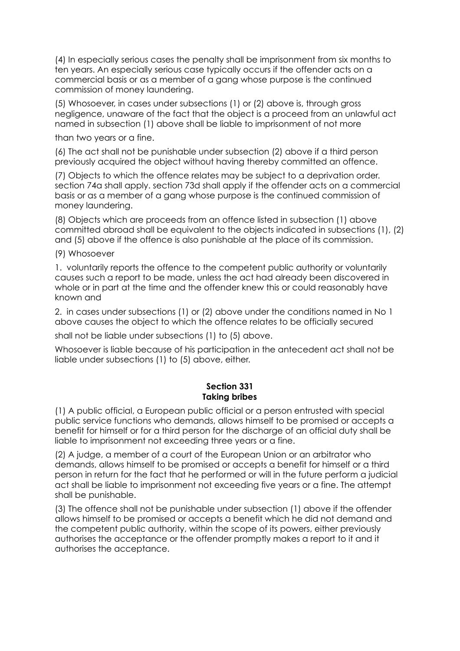(4) In especially serious cases the penalty shall be imprisonment from six months to ten years. An especially serious case typically occurs if the offender acts on a commercial basis or as a member of a gang whose purpose is the continued commission of money laundering.

(5) Whosoever, in cases under subsections (1) or (2) above is, through gross negligence, unaware of the fact that the object is a proceed from an unlawful act named in subsection (1) above shall be liable to imprisonment of not more

than two years or a fine.

(6) The act shall not be punishable under subsection (2) above if a third person previously acquired the object without having thereby committed an offence.

(7) Objects to which the offence relates may be subject to a deprivation order. section 74a shall apply. section 73d shall apply if the offender acts on a commercial basis or as a member of a gang whose purpose is the continued commission of money laundering.

(8) Objects which are proceeds from an offence listed in subsection (1) above committed abroad shall be equivalent to the objects indicated in subsections (1), (2) and (5) above if the offence is also punishable at the place of its commission.

#### (9) Whosoever

1. voluntarily reports the offence to the competent public authority or voluntarily causes such a report to be made, unless the act had already been discovered in whole or in part at the time and the offender knew this or could reasonably have known and

2. in cases under subsections (1) or (2) above under the conditions named in No 1 above causes the object to which the offence relates to be officially secured

shall not be liable under subsections (1) to (5) above.

Whosoever is liable because of his participation in the antecedent act shall not be liable under subsections (1) to (5) above, either.

### **Section 331 Taking bribes**

(1) A public official, a European public official or a person entrusted with special public service functions who demands, allows himself to be promised or accepts a benefit for himself or for a third person for the discharge of an official duty shall be liable to imprisonment not exceeding three years or a fine.

(2) A judge, a member of a court of the European Union or an arbitrator who demands, allows himself to be promised or accepts a benefit for himself or a third person in return for the fact that he performed or will in the future perform a judicial act shall be liable to imprisonment not exceeding five years or a fine. The attempt shall be punishable.

(3) The offence shall not be punishable under subsection (1) above if the offender allows himself to be promised or accepts a benefit which he did not demand and the competent public authority, within the scope of its powers, either previously authorises the acceptance or the offender promptly makes a report to it and it authorises the acceptance.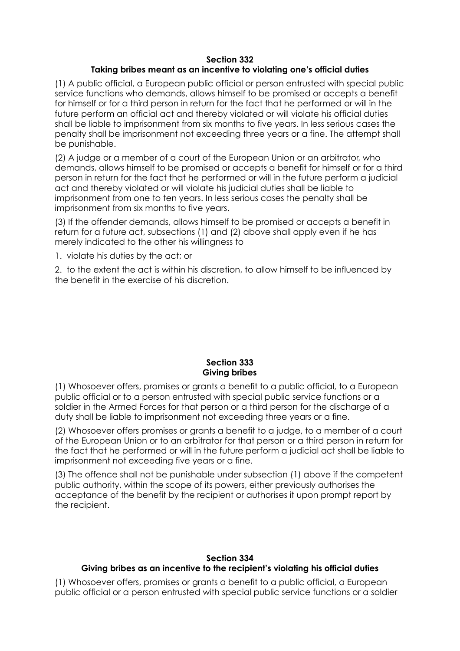#### **Section 332 Taking bribes meant as an incentive to violating one's official duties**

(1) A public official, a European public official or person entrusted with special public service functions who demands, allows himself to be promised or accepts a benefit for himself or for a third person in return for the fact that he performed or will in the future perform an official act and thereby violated or will violate his official duties shall be liable to imprisonment from six months to five years. In less serious cases the penalty shall be imprisonment not exceeding three years or a fine. The attempt shall be punishable.

(2) A judge or a member of a court of the European Union or an arbitrator, who demands, allows himself to be promised or accepts a benefit for himself or for a third person in return for the fact that he performed or will in the future perform a judicial act and thereby violated or will violate his judicial duties shall be liable to imprisonment from one to ten years. In less serious cases the penalty shall be imprisonment from six months to five years.

(3) If the offender demands, allows himself to be promised or accepts a benefit in return for a future act, subsections (1) and (2) above shall apply even if he has merely indicated to the other his willingness to

1. violate his duties by the act; or

2. to the extent the act is within his discretion, to allow himself to be influenced by the benefit in the exercise of his discretion.

#### **Section 333 Giving bribes**

(1) Whosoever offers, promises or grants a benefit to a public official, to a European public official or to a person entrusted with special public service functions or a soldier in the Armed Forces for that person or a third person for the discharge of a duty shall be liable to imprisonment not exceeding three years or a fine.

(2) Whosoever offers promises or grants a benefit to a judge, to a member of a court of the European Union or to an arbitrator for that person or a third person in return for the fact that he performed or will in the future perform a judicial act shall be liable to imprisonment not exceeding five years or a fine.

(3) The offence shall not be punishable under subsection (1) above if the competent public authority, within the scope of its powers, either previously authorises the acceptance of the benefit by the recipient or authorises it upon prompt report by the recipient.

### **Section 334 Giving bribes as an incentive to the recipient's violating his official duties**

(1) Whosoever offers, promises or grants a benefit to a public official, a European public official or a person entrusted with special public service functions or a soldier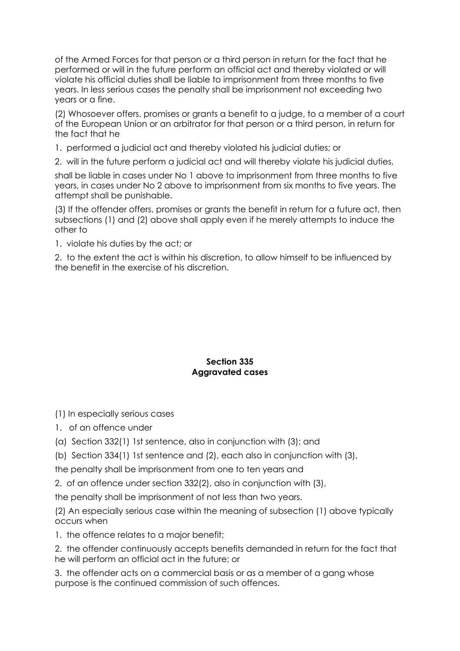of the Armed Forces for that person or a third person in return for the fact that he performed or will in the future perform an official act and thereby violated or will violate his official duties shall be liable to imprisonment from three months to five years. In less serious cases the penalty shall be imprisonment not exceeding two years or a fine.

(2) Whosoever offers, promises or grants a benefit to a judge, to a member of a court of the European Union or an arbitrator for that person or a third person, in return for the fact that he

1. performed a judicial act and thereby violated his judicial duties; or

2. will in the future perform a judicial act and will thereby violate his judicial duties,

shall be liable in cases under No 1 above to imprisonment from three months to five years, in cases under No 2 above to imprisonment from six months to five years. The attempt shall be punishable.

(3) If the offender offers, promises or grants the benefit in return for a future act, then subsections (1) and (2) above shall apply even if he merely attempts to induce the other to

1. violate his duties by the act; or

2. to the extent the act is within his discretion, to allow himself to be influenced by the benefit in the exercise of his discretion.

### **Section 335 Aggravated cases**

(1) In especially serious cases

- 1. of an offence under
- (a) Section 332(1) 1st sentence, also in conjunction with (3); and
- (b) Section 334(1) 1st sentence and (2), each also in conjunction with (3),

the penalty shall be imprisonment from one to ten years and

2. of an offence under section 332(2), also in conjunction with (3),

the penalty shall be imprisonment of not less than two years.

(2) An especially serious case within the meaning of subsection (1) above typically occurs when

1. the offence relates to a major benefit;

2. the offender continuously accepts benefits demanded in return for the fact that he will perform an official act in the future; or

3. the offender acts on a commercial basis or as a member of a gang whose purpose is the continued commission of such offences.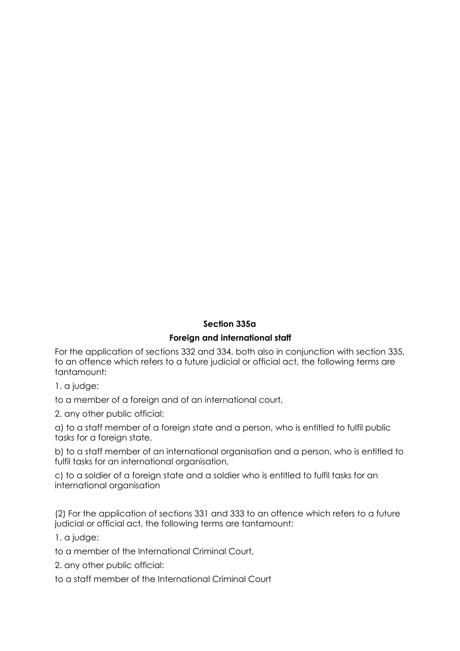# **Section 335a**

# **Foreign and international staff**

For the application of sections 332 and 334, both also in conjunction with section 335, to an offence which refers to a future judicial or official act, the following terms are tantamount:

1. a judge:

to a member of a foreign and of an international court,

2. any other public official:

a) to a staff member of a foreign state and a person, who is entitled to fulfil public tasks for a foreign state,

b) to a staff member of an international organisation and a person, who is entitled to fulfil tasks for an international organisation,

c) to a soldier of a foreign state and a soldier who is entitled to fulfil tasks for an international organisation

(2) For the application of sections 331 and 333 to an offence which refers to a future judicial or official act, the following terms are tantamount:

1. a judge:

to a member of the International Criminal Court,

2. any other public official:

to a staff member of the International Criminal Court